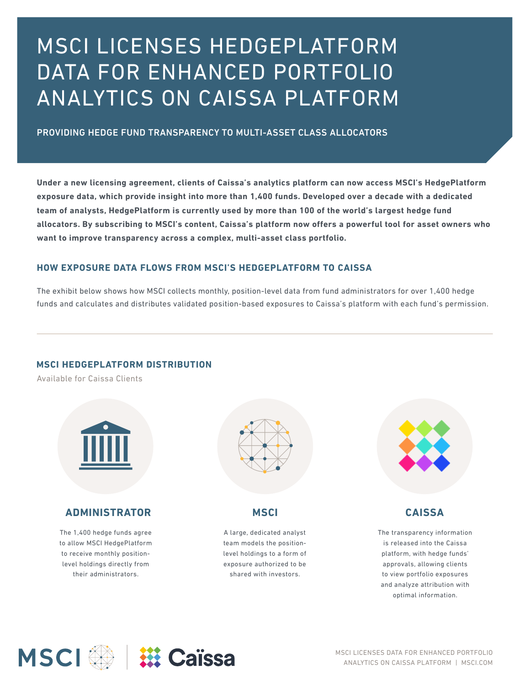# MSCI LICENSES HEDGEPLATFORM DATA FOR ENHANCED PORTFOLIO ANALYTICS ON CAISSA PLATFORM

### PROVIDING HEDGE FUND TRANSPARENCY TO MULTI-ASSET CLASS ALLOCATORS

**Under a new licensing agreement, clients of Caissa's analytics platform can now access MSCI's HedgePlatform exposure data, which provide insight into more than 1,400 funds. Developed over a decade with a dedicated team of analysts, HedgePlatform is currently used by more than 100 of the world's largest hedge fund allocators. By subscribing to MSCI's content, Caissa's platform now offers a powerful tool for asset owners who want to improve transparency across a complex, multi-asset class portfolio.**

#### **HOW EXPOSURE DATA FLOWS FROM MSCI'S HEDGEPLATFORM TO CAISSA**

The exhibit below shows how MSCI collects monthly, position-level data from fund administrators for over 1,400 hedge funds and calculates and distributes validated position-based exposures to Caissa's platform with each fund's permission.

#### **MSCI HEDGEPLATFORM DISTRIBUTION**

Available for Caissa Clients



# **ADMINISTRATOR MSCI CAISSA**

The 1,400 hedge funds agree to allow MSCI HedgePlatform to receive monthly positionlevel holdings directly from their administrators.



A large, dedicated analyst team models the positionlevel holdings to a form of exposure authorized to be shared with investors.



The transparency information is released into the Caissa platform, with hedge funds' approvals, allowing clients to view portfolio exposures and analyze attribution with optimal information.



MSCI LICENSES DATA FOR ENHANCED PORTFOLIO ANALYTICS ON CAISSA PLATFORM | MSCI.COM